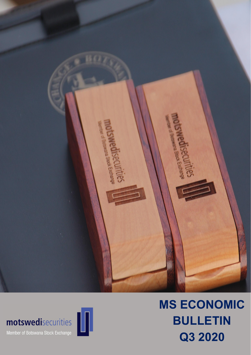

# $\left[\begin{array}{c|c} \textbf{motswed} \textbf{is} \textbf{c} \textbf{c} \textbf{u} \textbf{r} \textbf{it} \textbf{is} \textbf{s} \end{array} \right]$ motswedisecurities





# MS ECONOMIC BULLETIN Q3 2020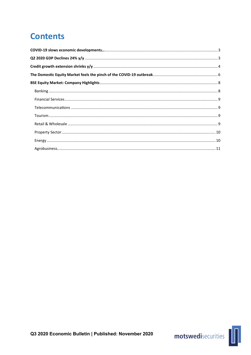## **Contents**



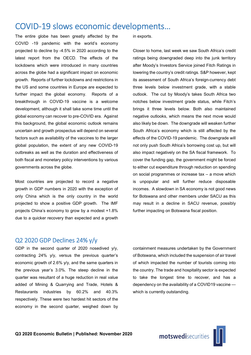### COVID-19 slows economic developments…

The entire globe has been greatly affected by the COVID -19 pandemic with the world's economy projected to decline by -4.5% in 2020 according to the latest report from the OECD. The effects of the lockdowns which were introduced in many countries across the globe had a significant impact on economic growth. Reports of further lockdowns and restrictions in the US and some countries in Europe are expected to further impact the global economy. Reports of a breakthrough in COVID-19 vaccine is a welcome development, although it shall take some time until the global economy can recover to pre-COVID era. Against this background, the global economic outlook remains uncertain and growth prospectus will depend on several factors such as availability of the vaccines to the larger global population, the extent of any new COVID-19 outbreaks as well as the duration and effectiveness of both fiscal and monetary policy interventions by various governments across the globe.

Most countries are projected to record a negative growth in GDP numbers in 2020 with the exception of only China which is the only country in the world projected to show a positive GDP growth. The IMF projects China's economy to grow by a modest +1.8% due to a quicker recovery than expected and a growth

in exports.

Closer to home, last week we saw South Africa's credit ratings being downgraded deep into the junk territory after Moody's Investors Service joined Fitch Ratings in lowering the country's credit ratings. S&P however, kept its assessment of South Africa's foreign-currency debt three levels below investment grade, with a stable outlook. The cut by Moody's takes South Africa two notches below investment grade status, while Fitch's brings it three levels below. Both also maintained negative outlooks, which means the next move would also likely be down. The downgrade will weaken further South Africa's economy which is still affected by the effects of the COVID-19 pandemic. The downgrade will not only push South Africa's borrowing cost up, but will also impact negatively on the SA fiscal framework. To cover the funding gap, the government might be forced to either cut expenditure through reduction on spending on social programmes or increase tax – a move which is unpopular and will further reduce disposable incomes. A slowdown in SA economy is not good news for Botswana and other members under SACU as this may result in a decline in SACU revenue, possibly further impacting on Botswana fiscal position.

#### Q2 2020 GDP Declines 24% y/y

GDP in the second quarter of 2020 nosedived y/y, contracting 24% y/y, versus the previous quarter's economic growth of 2.6% y/y, and the same quarters in the previous year's 3.0%. The steep decline in the quarter was resultant of a huge reduction in real value added of Mining & Quarrying and Trade, Hotels & Restaurants industries by 60.2% and 40.3% respectively. These were two hardest hit sectors of the economy in the second quarter, weighed down by

containment measures undertaken by the Government of Botswana, which included the suspension of air travel of which impacted the number of tourists coming into the country. The trade and hospitality sector is expected to take the longest time to recover, and has a dependency on the availability of a COVID19 vaccine which is currently outstanding.

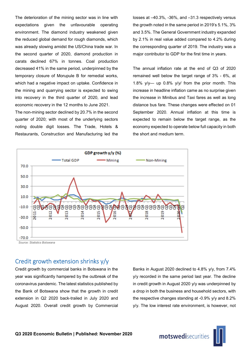The deterioration of the mining sector was in line with expectations given the unfavourable operating environment. The diamond industry weakened given the reduced global demand for rough diamonds, which was already slowing amidst the US/China trade war. In the second quarter of 2020, diamond production in carats declined 67% in tonnes. Coal production decreased 41% in the same period, underpinned by the temporary closure of Morupule B for remedial works, which had a negative impact on uptake. Confidence in the mining and quarrying sector is expected to swing into recovery in the third quarter of 2020, and lead economic recovery in the 12 months to June 2021.

The non-mining sector declined by 20.7% in the second quarter of 2020; with most of the underlying sectors noting double digit losses. The Trade, Hotels & Restaurants, Construction and Manufacturing led the

losses at –40.3%, -36%, and –31.3 respectively versus the growth noted in the same period in 2019's 5.1%, 3% and 3.5%. The General Government industry expanded by 2.1% in real value added compared to 4.2% during the corresponding quarter of 2019. The industry was a major contributor to GDP for the first time in years.

The annual inflation rate at the end of Q3 of 2020 remained well below the target range of 3% - 6%, at 1.8% y/y— up 0.8% y/y/ from the prior month. This increase in headline inflation came as no surprise given the increase in Minibus and Taxi fares as well as long distance bus fare. These changes were effected on 01 September 2020. Annual inflation at this time is expected to remain below the target range, as the economy expected to operate below full capacity in both the short and medium term.



### Credit growth extension shrinks y/y

Credit growth by commercial banks in Botswana in the year was significantly hampered by the outbreak of the coronavirus pandemic. The latest statistics published by the Bank of Botswana show that the growth in credit extension in Q2 2020 back-trailed in July 2020 and August 2020. Overall credit growth by Commercial

Banks in August 2020 declined to 4.8% y/y, from 7.4% y/y recorded in the same period last year. The decline in credit growth in August 2020 y/y was underpinned by a drop in both the business and household sectors, with the respective changes standing at -0.9% y/y and 8.2% y/y. The low interest rate environment, is however, not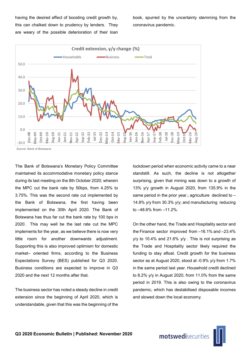having the desired effect of boosting credit growth by, this can chalked down to prudency by lenders. They are weary of the possible deterioration of their loan

book, spurred by the uncertainty stemming from the coronavirus pandemic.



*Source: Bank of Botswana*

The Bank of Botswana's Monetary Policy Committee maintained its accommodative monetary policy stance during its last meeting on the 8th October 2020; wherein the MPC cut the bank rate by 50bps, from 4.25% to 3.75%. This was the second rate cut implemented by the Bank of Botswana, the first having been implemented on the 30th April 2020. The Bank of Botswana has thus far cut the bank rate by 100 bps in 2020. This may well be the last rate cut the MPC implements for the year, as we believe there is now very little room for another downwards adjustment. Supporting this is also improved optimism for domestic market– oriented firms, according to the Business Expectations Survey (BES) published for Q3 2020. Business conditions are expected to improve in Q3 2020 and the next 12 months after that.

The business sector has noted a steady decline in credit extension since the beginning of April 2020, which is understandable, given that this was the beginning of the lockdown period when economic activity came to a near standstill. As such, the decline is not altogether surprising, given that mining was down to a growth of 13% y/y growth in August 2020, from 135.9% in the same period in the prior year.; agriculture declined to – 14.8% y/y from 30.3% y/y; and manufacturing reducing to –48.6% from –11.2%.

On the other hand, the Trade and Hospitality sector and the Finance sector improved from –16.1% and –23.4% y/y to 10.4% and 21.6% y/y . This is not surprising as the Trade and Hospitality sector likely required the funding to stay afloat. Credit growth for the business sector as at August 2020, stood at -0.9% y/y from 1.7% in the same period last year. Household credit declined to 8.2% y/y in August 2020, from 11.0% from the same period in 2019. This is also owing to the coronavirus pandemic, which has destabilised disposable incomes and slowed down the local economy.

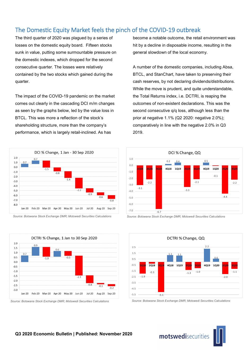### The Domestic Equity Market feels the pinch of the COVID-19 outbreak

The third quarter of 2020 was plagued by a series of losses on the domestic equity board. Fifteen stocks sunk in value, putting some surmountable pressure on the domestic indexes, which dropped for the second consecutive quarter. The losses were relatively contained by the two stocks which gained during the quarter.

The impact of the COVID-19 pandemic on the market comes out clearly in the cascading DCI m/m changes as seen by the graphs below, led by the value loss in BTCL. This was more a reflection of the stock's shareholding structure, more than the company's performance, which is largely retail-inclined. As has



*Source: Botswana Stock Exchange DMR; Motswedi Securities Calculations*



*Source: Botswana Stock Exchange DMR; Motswedi Securities Calculations*

become a notable outcome, the retail environment was hit by a decline in disposable income, resulting in the general slowdown of the local economy.

A number of the domestic companies, including Absa, BTCL, and StanChart, have taken to preserving their cash reserves, by not declaring dividends/distributions. While the move is prudent, and quite understandable, the Total Returns index, i.e. DCTRI, is reaping the outcomes of non-existent declarations. This was the second consecutive q/q loss, although less than the prior at negative 1.1% (Q2 2020: negative 2.0%); comparatively in line with the negative 2.0% in Q3 2019.



*Source: Botswana Stock Exchange DMR; Motswedi Securities Calculations*



*Source: Botswana Stock Exchange DMR; Motswedi Securities Calculations*

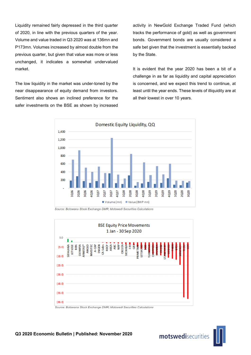Liquidity remained fairly depressed in the third quarter of 2020, in line with the previous quarters of the year. Volume and value traded in Q3 2020 was at 136mn and P173mn. Volumes increased by almost double from the previous quarter, but given that value was more or less unchanged, it indicates a somewhat undervalued market.

The low liquidity in the market was under-toned by the near disappearance of equity demand from investors. Sentiment also shows an inclined preference for the safer investments on the BSE as shown by increased

activity in NewGold Exchange Traded Fund (which tracks the performance of gold) as well as government bonds. Government bonds are usually considered a safe bet given that the investment is essentially backed by the State.

It is evident that the year 2020 has been a bit of a challenge in as far as liquidity and capital appreciation is concerned, and we expect this trend to continue, at least until the year ends. These levels of illiquidity are at all their lowest in over 10 years.



*Source: Botswana Stock Exchange DMR; Motswedi Securities Calculations*



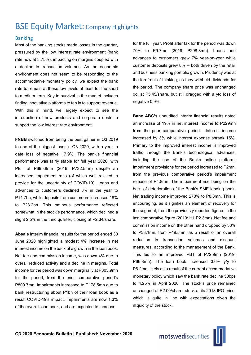### BSE Equity Market: Company Highlights

#### Banking

Most of the banking stocks made losses in the quarter, pressured by the low interest rate environment (bank rate now at 3.75%), impacting on margins coupled with a decline in transaction volumes. As the economic environment does not seem to be responding to the accommodative monetary policy, we expect the bank rate to remain at these low levels at least for the short to medium term. Key to survival in the market includes finding innovative platforms to tap in to support revenue. With this in mind, we largely expect to see the introduction of new products and corporate deals to support the low interest rate environment.

FNBB switched from being the best gainer in Q3 2019 to one of the biggest loser in Q3 2020, with a year to date loss of negative 17.9%. The bank's financial performance was fairly stable for full year 2020, with PBT at P695.8mn (2019: P732.5mn) despite an increased impairment ratio (of which was revised to provide for the uncertainty of COVID-19). Loans and advances to customers declined 8% in the year to P14.7bn, while deposits from customers increased 18% to P23.2bn. This ominous performance reflected somewhat in the stock's performance, which declined a slight 2.5% in the third quarter, closing at P2.34/share.

Absa's interim financial results for the period ended 30 June 2020 highlighted a modest 4% increase in net interest income on the back of a growth in the loan book. Net fee and commission income, was down 4% due to overall reduced activity and a decline in margins. Total income for the period was down marginally at P803.9mn for the period, from the prior comparative period's P809.7mn. Impairments increased to P178.5mn due to bank restructuring about P1bn of their loan book as a result COVID-19's impact. Impairments are now 1.3% of the overall loan book, and are expected to increase

for the full year. Profit after tax for the period was down 70% to P9.7mn (2019: P298.8mn). Loans and advances to customers grew 7% year-on-year while customer deposits grew 8% -- both driven by the retail and business banking portfolio growth. Prudency was at the forefront of thinking, as they withheld dividends for the period. The company share price was unchanged qq, at P5.45/share, but still dragged with a ytd loss of negative 0.9%.

Banc ABC's unaudited interim financial results noted an increase of 19% in net interest income to P229mn from the prior comparative period. Interest income increased by 3% while interest expense shrank 15%. Primary to the improved interest income is improved traffic through the Bank's technological advances, including the use of the Banks online platform. Impairment provisions for the period increased to P2mn, from the previous comparative period's impairment release of P4.8mn. The impairment rise being on the back of deterioration of the Bank's SME lending book. Net trading income improved 278% to P8.8mn. This is encouraging, as it signifies an element of recovery for the segment, from the previously reported figures in the last comparative figure (2019: H1 P2.3mn). Net fee and commission income on the other hand dropped by 33% to P33.1mn, from P49.5mn, as a result of an overall reduction in transaction volumes and discount measures, according to the management of the Bank. This led to an improved PBT of P72.9mn (2019: P66.3mn). The loan book increased 3.6% y/y to P6.2mn, likely as a result of the current accommodative monetary policy which saw the bank rate decline 50bps to 4.25% in April 2020. The stock's price remained unchanged at P2.00/share, stuck at its 2018 IPO price, which is quite in line with expectations given the illiquidity of the stock.

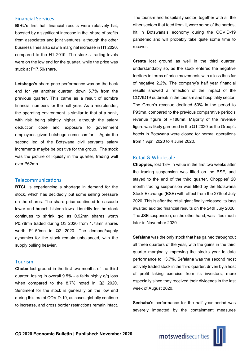#### Financial Services

BIHL's first half financial results were relatively flat, boosted by a significant increase in the share of profits from associates and joint ventures, although the other business lines also saw a marginal increase in H1 2020, compared to the H1 2019. The stock's trading levels were on the low end for the quarter, while the price was stuck at P17.50/share.

Letshego's share price performance was on the back end for yet another quarter, down 5.7% from the previous quarter. This came as a result of sombre financial numbers for the half year. As a microlender, the operating environment is similar to that of a bank, with risk being slightly higher, although the salary deduction code and exposure to government employees gives Letshego some comfort. Again the second leg of the Botswana civil servants salary increments maybe be positive for the group. The stock was the picture of liquidity in the quarter, trading well over P62mn.

#### Telecommunications

**BTCL** is experiencing a shortage in demand for the stock, which has decidedly put some selling pressure on the shares. The share price continued to cascade lower and breach historic lows. Liquidity for the stock continues to shrink q/q as 0.92mn shares worth P0.78mn traded during Q3 2020 from 1.73mn shares worth P1.50mn in Q2 2020. The demand/supply dynamics for the stock remain unbalanced, with the supply pulling heavier.

#### Tourism

Chobe lost ground in the first two months of the third quarter, losing in overall 9.5% - a fairly highly q/q loss when compared to the 8.7% noted in Q2 2020. Sentiment for the stock is generally on the low end during this era of COVID-19, as cases globally continue to increase, and cross border restrictions remain intact.

The tourism and hospitality sector, together with all the other sectors that feed from it, were some of the hardest hit in Botswana's economy during the COVID-19 pandemic and will probably take quite some time to recover.

Cresta lost ground as well in the third quarter, understandably so, as the stock entered the negative territory in terms of price movements with a loss thus far of negative 2.2%. The company's half year financial results showed a reflection of the impact of the COVID19 outbreak in the tourism and hospitality sector. The Group's revenue declined 50% in the period to P93mn, compared to the previous comparative period's revenue figure of P188mn. Majority of the revenue figure was likely garnered in the Q1 2020 as the Group's hotels in Botswana were closed for normal operations from 1 April 2020 to 4 June 2020.

#### Retail & Wholesale

Choppies, lost 13% in value in the first two weeks after the trading suspension was lifted on the BSE, and stayed to the end of the third quarter. Choppies' 20 month trading suspension was lifted by the Botswana Stock Exchange (BSE) with effect from the 27th of July 2020. This is after the retail giant finally released its long awaited audited financial results on the 24th July 2020. The JSE suspension, on the other hand, was lifted much later in November 2020.

Sefalana was the only stock that has gained throughout all three quarters of the year, with the gains in the third quarter marginally improving the stocks year to date performance to +3.7%. Sefalana was the second most actively traded stock in the third quarter, driven by a host of profit taking exercise from its investors, more especially since they received their dividends in the last week of August 2020.

Sechaba's performance for the half year period was severely impacted by the containment measures

motswedisecurities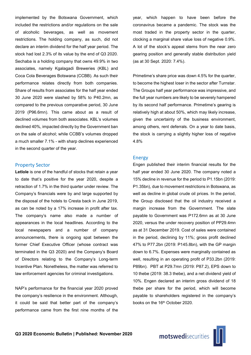implemented by the Botswana Government, which included the restrictions and/or regulations on the sale of alcoholic beverages, as well as movement restrictions. The holding company, as such, did not declare an interim dividend for the half year period. The stock had lost 2.3% of its value by the end of Q3 2020. Sechaba is a holding company that owns 49.9% in two associates, namely Kgalagadi Breweries (KBL) and Coca Cola Beverages Botswana (CCBB). As such their performance relates directly from both companies. Share of results from associates for the half year ended 30 June 2020 were slashed by 58% to P40.2mn, as compared to the previous comparative period, 30 June 2019 (P96.6mn). This came about as a result of declined volumes from both associates. KBL's volumes declined 40%, impacted directly by the Government ban on the sale of alcohol; while CCBB's volumes dropped a much smaller 7.1% - with sharp declines experienced in the second quarter of the year.

#### Property Sector

Letlole is one of the handful of stocks that retain a year to date that's positive for the year 2020, despite a retraction of 1.7% in the third quarter under review. The Company's financials were by and large supported by the disposal of the hotels to Cresta back in June 2019, as can be noted by a 17% increase in profit after tax. The company's name also made a number of appearances in the local headlines. According to the local newspapers and a number of company announcements, there is ongoing spat between the former Chief Executive Officer (whose contract was terminated in the Q3 2020) and the Company's Board of Directors relating to the Company's Long-term Incentive Plan. Nonetheless, the matter was referred to law enforcement agencies for criminal investigations.

NAP's performance for the financial year 2020 proved the company's resilience in the environment. Although, it could be said that better part of the company's performance came from the first nine months of the year, which happen to have been before the coronavirus became a pandemic. The stock was the most traded in the property sector in the quarter, clocking a marginal share value loss of negative 0.9%. A lot of the stock's appeal stems from the near zero gearing position and generally stable distribution yield (as at 30 Sept. 2020: 7.4%).

Primetime's share price was down 4.5% for the quarter, to become the highest loser in the sector after Turnstar. The Groups half year performance was impressive, and the full year numbers are likely to be severely hampered by its second half performance. Primetime's gearing is relatively high at about 50%, which may likely increase, given the uncertainty of the business environment, among others, rent deferrals. On a year to date basis, the stock is carrying a slightly higher loss of negative 4.8%

#### Energy

Engen published their interim financial results for the half year ended 30 June 2020. The company noted a 15% decline in revenue for the period to P1.15bn (2019: P1.35bn), due to movement restrictions in Botswana, as well as decline in global crude oil prices. In the period, the Group disclosed that the oil industry received a margin increase from the Government. The slate payable to Government was P172.6mn as at 30 June 2020, versus the under recovery position of PP29.4mn as at 31 December 2019. Cost of sales were contained in the period, declining by 11%; gross profit declined 47% to P77.2bn (2019: P145.8bn), with the GP margin down to 6.7%. Expenses were marginally contained as well, resulting in an operating profit of P33.2bn (2019: P89bn). PBT at P29.7mn (2019: P87.2), EPS down to 10 thebe (2019: 38.3 thebe), and a net dividend yield of 10%. Engen declared an interim gross dividend of 18 thebe per share for the period, which will become payable to shareholders registered in the company's books on the 16<sup>th</sup> October 2020.

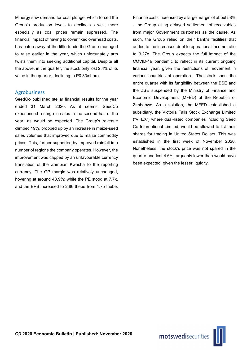Minergy saw demand for coal plunge, which forced the Group's production levels to decline as well, more especially as coal prices remain supressed. The financial impact of having to cover fixed overhead costs, has eaten away at the little funds the Group managed to raise earlier in the year, which unfortunately arm twists them into seeking additional capital. Despite all the above, in the quarter, the stock only lost 2.4% of its value in the quarter, declining to P0.83/share.

#### Agrobusiness

SeedCo published stellar financial results for the year ended 31 March 2020. As it seems, SeedCo experienced a surge in sales in the second half of the year, as would be expected. The Group's revenue climbed 19%, propped up by an increase in maize-seed sales volumes that improved due to maize commodity prices. This, further supported by improved rainfall in a number of regions the company operates. However, the improvement was capped by an unfavourable currency translation of the Zambian Kwacha to the reporting currency. The GP margin was relatively unchanged, hovering at around 48.9%; while the PE stood at 7.7x, and the EPS increased to 2.86 thebe from 1.75 thebe.

Finance costs increased by a large margin of about 58% - the Group citing delayed settlement of receivables from major Government customers as the cause. As such, the Group relied on their bank's facilities that added to the increased debt to operational income ratio to 3.27x. The Group expects the full impact of the COVID-19 pandemic to reflect in its current ongoing financial year, given the restrictions of movement in various countries of operation. The stock spent the entire quarter with its fungibility between the BSE and the ZSE suspended by the Ministry of Finance and Economic Development (MFED) of the Republic of Zimbabwe. As a solution, the MFED established a subsidiary, the Victoria Falls Stock Exchange Limited ("VFEX") where dual-listed companies including Seed Co International Limited, would be allowed to list their shares for trading in United States Dollars. This was established in the first week of November 2020. Nonetheless, the stock's price was not spared in the quarter and lost 4.6%, arguably lower than would have been expected, given the lesser liquidity.